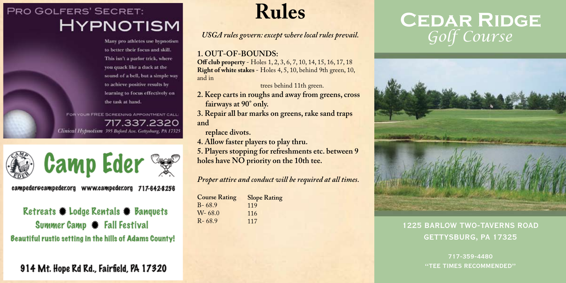## **PRO GOLFERS' SECRET: HYPNOTISM**

Many pro athletes use hypnotism to better their focus and skill. This isn't a parlor trick, where you quack like a duck at the sound of a bell, but a simple way to achieve positive results by learning to focus effectively on the task at hand.

FOR YOUR FREE SCREENING APPOINTMENT CALL: 717.337.2320 Clinical Hypnotism 395 Buford Ave. Gettysburg, PA 17325



campeder@campeder.org www.campeder.org 717-642-8256

Retreats Codge Rentals Canquets Summer Camp **\*** Fall Festival **Beautiful rustic setting in the hills of Adams County!** 

914 Mt. Hope Rd Rd., Fairfield, PA 17320

**Rules**

*USGA rules govern: except where local rules prevail.*

## **1. OUT-OF-BOUNDS:**

**Off club property** - Holes 1, 2, 3, 6, 7, 10, 14, 15, 16, 17, 18 **Right of white stakes** - Holes 4, 5, 10, behind 9th green, 10, and in

trees behind 11th green.

- **2. Keep carts in roughs and away from greens, cross fairways at 90° only.**
- **3. Repair all bar marks on greens, rake sand traps and**

 **replace divots.**

- **4. Allow faster players to play thru.**
- **5. Players stopping for refreshments etc. between 9 holes have NO priority on the 10th tee.**

*Proper attire and conduct will be required at all times.*

| <b>Slope Rating</b> |
|---------------------|
| 119                 |
| 116                 |
| 117                 |
|                     |

## **Cedar Ridge** *Golf Course*



## 1225 BARLOW TWO-TAVERNS ROAD GETTYSBURG, PA 17325

717-359-4480 "TEE TIMES RECOMMENDED"